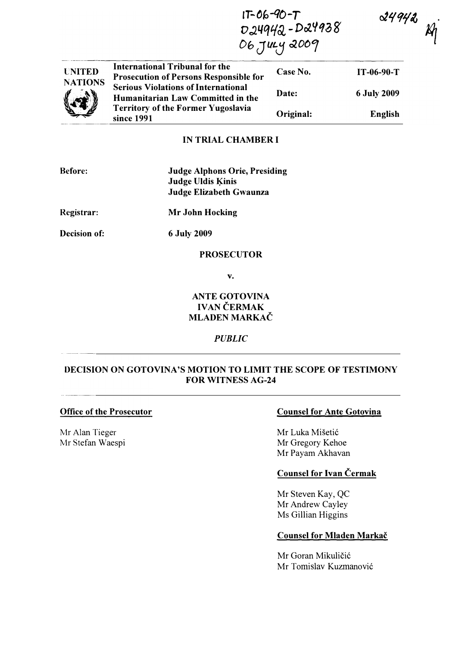$1T-06-90-T$ D24942-D24938 06 July 2009

 $24942$ 

 $\mathcal{R}$ 

| <b>UNITED</b><br><b>NATIONS</b><br>$\langle x \rangle$ | International Tribunal for the<br><b>Prosecution of Persons Responsible for</b> | Case No.  | IT-06-90-T         |
|--------------------------------------------------------|---------------------------------------------------------------------------------|-----------|--------------------|
|                                                        | <b>Serious Violations of International</b><br>Humanitarian Law Committed in the | Date:     | <b>6 July 2009</b> |
|                                                        | <b>Territory of the Former Yugoslavia</b><br>since 1991                         | Original: | English            |

### IN TRIAL CHAMBER I

| <b>Before:</b> | <b>Judge Alphons Orie, Presiding</b> |
|----------------|--------------------------------------|
|                | <b>Judge Uldis Kinis</b>             |
|                | Judge Elizabeth Gwaunza              |

Registrar: Mr John Hocking

Decision of:

6 July 2009

#### PROSECUTOR

v.

# ANTE GOTOVINA **IVAN ČERMAK** MLADEN MARKAČ

### PUBLIC

# DECISION ON GOTOVINA'S MOTION TO LIMIT THE SCOPE OF TESTIMONY FOR WITNESS AG-24

### Office of the Prosecutor

Mr Alan Tieger Mr Stefan Waespi

# Counsel for Ante Gotovina

Mr Luka Mišetić Mr Gregory Kehoe Mr Payam Akhavan

# Counsel for Ivan Cermak

Mr Steven Kay, QC Mr Andrew Cayley Ms Gillian Higgins

### Counsel for Mladen Markač

Mr Goran Mikuličić Mr Tomislav Kuzmanović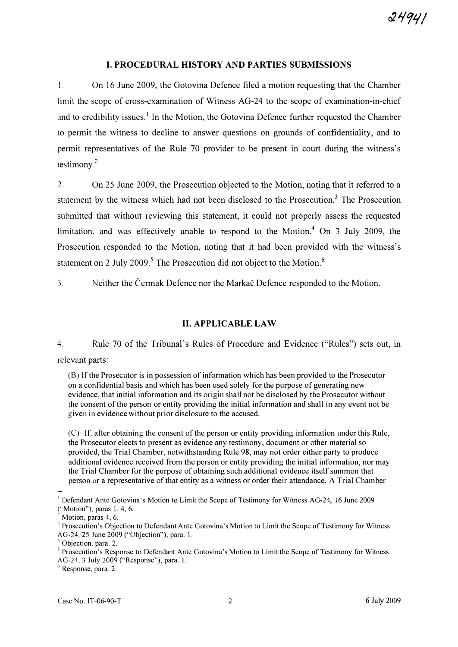### I. PROCEDURAL HISTORY AND PARTIES SUBMISSIONS

I. On 16 June 2009, the Gotovina Defence filed a motion requesting that the Chamber limit the scope of cross-examination of Witness AG-24 to the scope of examination-in-chief and to credibility issues.<sup>1</sup> In the Motion, the Gotovina Defence further requested the Chamber to permit the witness to decline to answer questions on grounds of confidentiality, and to permit representatives of the Rule 70 provider to be present in court during the witness's testimony. $2$ 

2. On 25 June 2009, the Prosecution objected to the Motion, noting that it referred to a statement by the witness which had not been disclosed to the Prosecution.<sup>3</sup> The Prosecution submitted that without reviewing this statement, it could not properly assess the requested limitation, and was effectively unable to respond to the Motion.<sup>4</sup> On 3 July 2009, the Prosecution responded to the Motion, noting that it had been provided with the witness's statement on 2 July 2009.<sup>5</sup> The Prosecution did not object to the Motion.<sup>6</sup>

3. Neither the Cermak Defence nor the Markac Defence responded to the Motion.

# II. APPLICABLE LAW

4. Rule 70 of the Tribunal's Rules of Procedure and Evidence ("Rules") sets out, in relevant parts:

(8) If the Prosecutor is in possession of information which has been provided to the Prosecutor on a confidential basis and which has been used solely for the purpose of generating new evidence, that initial information and its origin shall not be disclosed by the Prosecutor without the consent of the person or entity providing the initial information and shall in any event not be given in evidence without prior disclosure to the accused.

(C) If, after obtaining the consent of the person or entity providing information under this Rule, the Prosecutor elects to present as evidence any testimony, document or other material so provided, the Trial Chamber, notwithstanding Rule 98, may not order either party to produce additional evidence received from the person or entity providing the initial information, nor may the Trial Chamber for the purpose of obtaining such additional evidence itself summon that person or a representative of that entity as a witness or order their attendance. A Trial Chamber

<sup>I</sup>Defendant Ante Gotovina's Motion to Limit the Scope of Testimony for Witness AG-24, 16 June 2009 ("Motion"), paras I, 4, 6.

Motion, paras 4, 6.

 $3$  Prosecution's Objection to Defendant Ante Gotovina's Motion to Limit the Scope of Testimony for Witness AG-24, 25 June 2009 ("Objection"), para. 1.

 $<sup>4</sup>$  Objection, para. 2.</sup>

 $<sup>5</sup>$  Prosecution's Response to Defendant Ante Gotovina's Motion to Limit the Scope of Testimony for Witness</sup> AG-24. 3 July 2009 ("Response"), para. 1.

 $6$  Response, para. 2.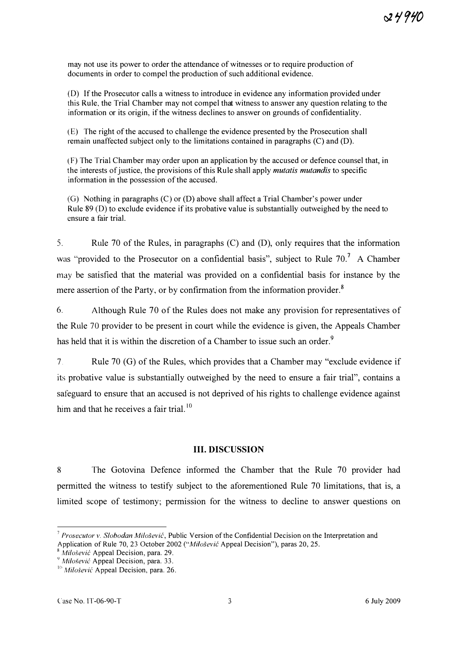may not use its power to order the attendance of witnesses or to require production of documents in order to compel the production of such additional evidence.

(D) If the Prosecutor calls a witness to introduce in evidence any information provided under this Rule, the Trial Chamber may not compel that witness to answer any question relating to the information or its origin, if the witness declines to answer on grounds of confidentiality.

(E) The right of the accused to challenge the evidence presented by the Prosecution shall remain unaffected subject only to the limitations contained in paragraphs (C) and (D).

(F) The Trial Chamber may order upon an application by the accused or defence counsel that, in the interests of justice, the provisions of this Rule shall apply *mutatis mutandis* to specific information in the possession of the accused.

(G) Nothing in paragraphs (C) or (D) above shall affect a Trial Chamber's power under Rule 89 (D) to exclude evidence if its probative value is substantially outweighed by the need to ensure a fair trial.

5. Rule 70 of the Rules, in paragraphs (C) and (D), only requires that the information was "provided to the Prosecutor on a confidential basis", subject to Rule 70.<sup>7</sup> A Chamber may be satisfied that the material was provided on a confidential basis for instance by the mere assertion of the Party, or by confirmation from the information provider.<sup>8</sup>

6. Although Rule 70 of the Rules does not make any provision for representatives of the Rule 70 provider to be present in court while the evidence is given, the Appeals Chamber has held that it is within the discretion of a Chamber to issue such an order.<sup>9</sup>

7. Rule 70 (G) of the Rules, which provides that a Chamber may "exclude evidence if its probative value is substantially outweighed by the need to ensure a fair trial", contains a safeguard to ensure that an accused is not deprived of his rights to challenge evidence against him and that he receives a fair trial.  $10$ 

### III. DISCUSSION

8 The Gotovina Defence informed the Chamber that the Rule 70 provider had permitted the witness to testify subject to the aforementioned Rule 70 limitations, that is, a limited scope of testimony; permission for the witness to decline to answer questions on

<sup>&</sup>lt;sup>7</sup> Prosecutor v. Slobodan Milošević, Public Version of the Confidential Decision on the Interpretation and

Application of Rule 70, 23 October 2002 ("Milošević Appeal Decision"), paras 20, 25.

 $8$  *Milošević* Appeal Decision, para. 29.

 $^9$  Milošević Appeal Decision, para. 33.

 $16$  Milošević Appeal Decision, para. 26.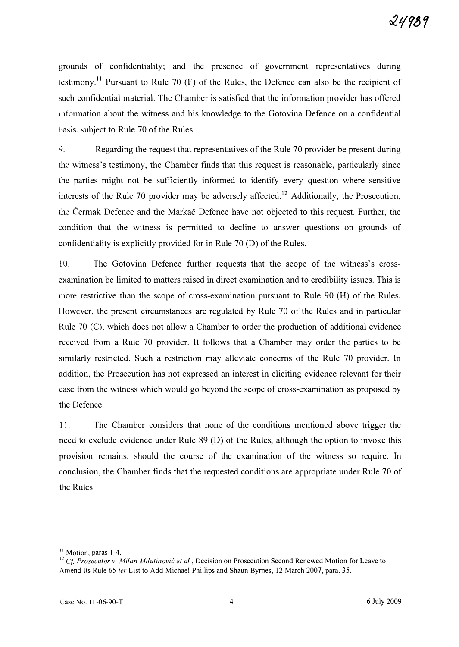grounds of confidentiality; and the presence of government representatives during testimony.<sup>11</sup> Pursuant to Rule 70 (F) of the Rules, the Defence can also be the recipient of such confidential material. The Chamber is satisfied that the information provider has offered mformation about the witness and his knowledge to the Gotovina Defence on a confidential basis. subject to Rule 70 of the Rules.

C). Regarding the request that representatives of the Rule 70 provider be present during the witness's testimony, the Chamber finds that this request is reasonable, particularly since the parties might not be sufficiently informed to identify every question where sensitive interests of the Rule 70 provider may be adversely affected.<sup>12</sup> Additionally, the Prosecution, the Cermak Defence and the Markac Defence have not objected to this request. Further, the condition that the witness is permitted to decline to answer questions on grounds of confidentiality is explicitly provided for in Rule 70 (D) of the Rules.

10. The Gotovina Defence further requests that the scope of the witness's crossexamination be limited to matters raised in direct examination and to credibility issues. This is more restrictive than the scope of cross-examination pursuant to Rule 90 (H) of the Rules. However, the present circumstances are regulated by Rule 70 of the Rules and in particular Rule 70 (C), which does not allow a Chamber to order the production of additional evidence received from a Rule 70 provider. It follows that a Chamber may order the parties to be similarly restricted. Such a restriction may alleviate concerns of the Rule 70 provider. In addition, the Prosecution has not expressed an interest in eliciting evidence relevant for their case from the witness which would go beyond the scope of cross-examination as proposed by the Defence.

11. The Chamber considers that none of the conditions mentioned above trigger the need to exclude evidence under Rule 89 (D) of the Rules, although the option to invoke this provision remains, should the course of the examination of the witness so require. In conclusion, the Chamber finds that the requested conditions are appropriate under Rule 70 of the Rules.

<sup>&</sup>lt;sup>11</sup> Motion, paras 1-4.

<sup>&</sup>lt;sup>12</sup> Cf. Prosecutor v. Milan Milutinovic et al., Decision on Prosecution Second Renewed Motion for Leave to Amend Its Rule 65 ter List to Add Michael Phillips and Shaun Byrnes, 12 March 2007, para. 35.